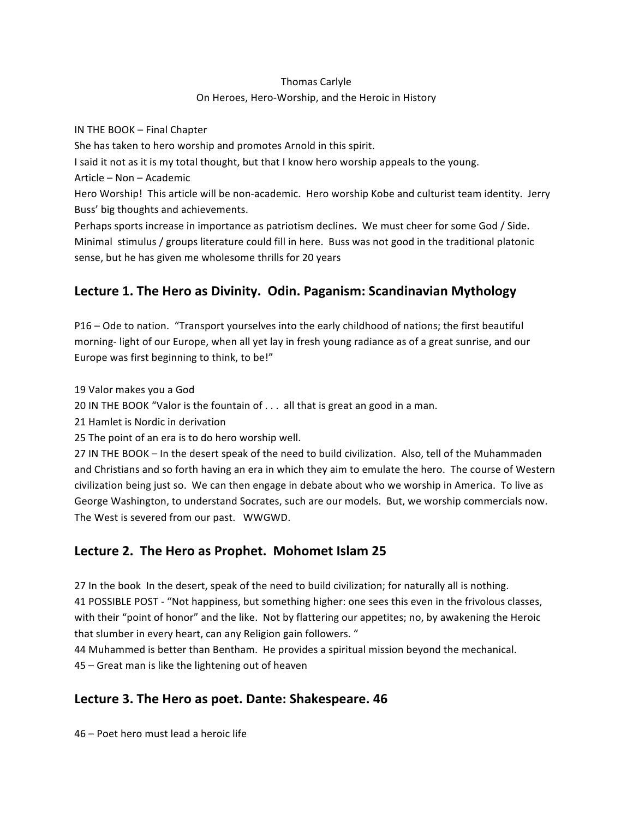### Thomas
Carlyle On Heroes, Hero-Worship, and the Heroic in History

IN
THE
BOOK
–
Final
Chapter She
has
taken
to
hero
worship
and
promotes
Arnold
in
this
spirit. I said it not as it is my total thought, but that I know hero worship appeals to the young. Article
–
Non
–
Academic Hero Worship! This article will be non-academic. Hero worship Kobe and culturist team identity. Jerry Buss'
big
thoughts
and
achievements. Perhaps sports increase in importance as patriotism declines. We must cheer for some God / Side. Minimal stimulus / groups literature could fill in here. Buss was not good in the traditional platonic

sense,
but
he
has
given
me
wholesome
thrills
for
20
years

# **Lecture
1.
The
Hero
as
Divinity.

Odin.
Paganism:
Scandinavian
Mythology**

P16 – Ode to nation. "Transport yourselves into the early childhood of nations; the first beautiful morning-light of our Europe, when all yet lay in fresh young radiance as of a great sunrise, and our Europe was first beginning to think, to be!"

19
Valor
makes
you
a
God

20 IN THE BOOK "Valor is the fountain of . . . all that is great an good in a man.

21
Hamlet
is
Nordic
in
derivation

25
The
point
of
an
era
is
to
do
hero
worship
well.

27 IN THE BOOK - In the desert speak of the need to build civilization. Also, tell of the Muhammaden and Christians and so forth having an era in which they aim to emulate the hero. The course of Western civilization being just so. We can then engage in debate about who we worship in America. To live as George Washington, to understand Socrates, such are our models. But, we worship commercials now. The
West
is
severed
from
our
past.

WWGWD.

# Lecture 2. The Hero as Prophet. Mohomet Islam 25

27 In the book In the desert, speak of the need to build civilization; for naturally all is nothing. 41 POSSIBLE POST - "Not happiness, but something higher: one sees this even in the frivolous classes, with their "point of honor" and the like. Not by flattering our appetites; no, by awakening the Heroic that slumber in every heart, can any Religion gain followers. "

44 Muhammed is better than Bentham. He provides a spiritual mission beyond the mechanical. 45
–
Great
man
is
like
the
lightening
out
of
heaven

# **Lecture
3.
The
Hero
as
poet.
Dante:
Shakespeare.
46**

46
–
Poet
hero
must
lead
a
heroic
life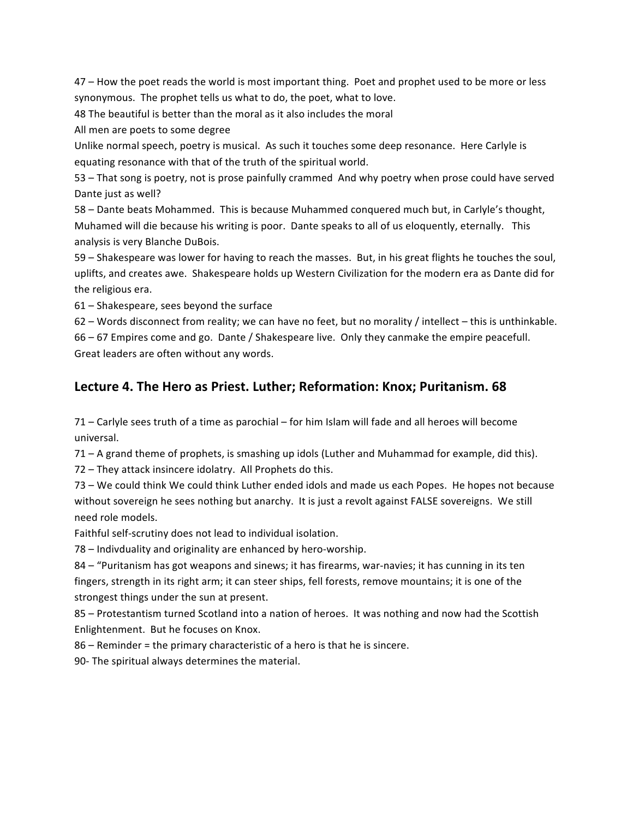47 – How the poet reads the world is most important thing. Poet and prophet used to be more or less synonymous.

The
prophet
tells
us
what
to
do,
the
poet,
what
to
love.

48 The beautiful is better than the moral as it also includes the moral

All
men
are
poets
to
some
degree

Unlike normal speech, poetry is musical. As such it touches some deep resonance. Here Carlyle is equating
resonance
with
that
of
the
truth
of
the
spiritual
world.

53
–
That
song
is
poetry,
not
is
prose
painfully
crammed

And
why
poetry
when
prose
could
have
served Dante
just
as
well?

58
–
Dante
beats
Mohammed.

This
is
because
Muhammed
conquered
much
but,
in
Carlyle's
thought, Muhamed will die because his writing is poor. Dante speaks to all of us eloquently, eternally. This analysis
is
very
Blanche
DuBois.

59 – Shakespeare was lower for having to reach the masses. But, in his great flights he touches the soul, uplifts, and creates awe. Shakespeare holds up Western Civilization for the modern era as Dante did for the
religious
era.

61
–
Shakespeare,
sees
beyond
the
surface

62 – Words disconnect from reality; we can have no feet, but no morality / intellect – this is unthinkable. 66
–
67
Empires
come
and
go.

Dante
/
Shakespeare
live.

Only
they
canmake
the
empire
peacefull.

Great
leaders
are
often
without
any
words.

## Lecture 4. The Hero as Priest. Luther; Reformation: Knox; Puritanism. 68

71 – Carlyle sees truth of a time as parochial – for him Islam will fade and all heroes will become universal.

71
–
A
grand
theme
of
prophets,
is
smashing
up
idols
(Luther
and
Muhammad
for
example,
did
this).

72
–
They
attack
insincere
idolatry.

All
Prophets
do
this.

73
–
We
could
think
We
could
think
Luther
ended
idols
and
made
us
each
Popes.

He
hopes
not
because without sovereign he sees nothing but anarchy. It is just a revolt against FALSE sovereigns. We still need
role
models.

Faithful self-scrutiny does not lead to individual isolation.

78
–
Indivduality
and
originality
are
enhanced
by
hero‐worship.

84 - "Puritanism has got weapons and sinews; it has firearms, war-navies; it has cunning in its ten fingers, strength in its right arm; it can steer ships, fell forests, remove mountains; it is one of the strongest
things
under
the
sun
at
present.

85 - Protestantism turned Scotland into a nation of heroes. It was nothing and now had the Scottish Enlightenment.

But
he
focuses
on
Knox.

86
–
Reminder
=
the
primary
characteristic
of
a
hero
is
that
he
is
sincere.

90‐
The
spiritual
always
determines
the
material.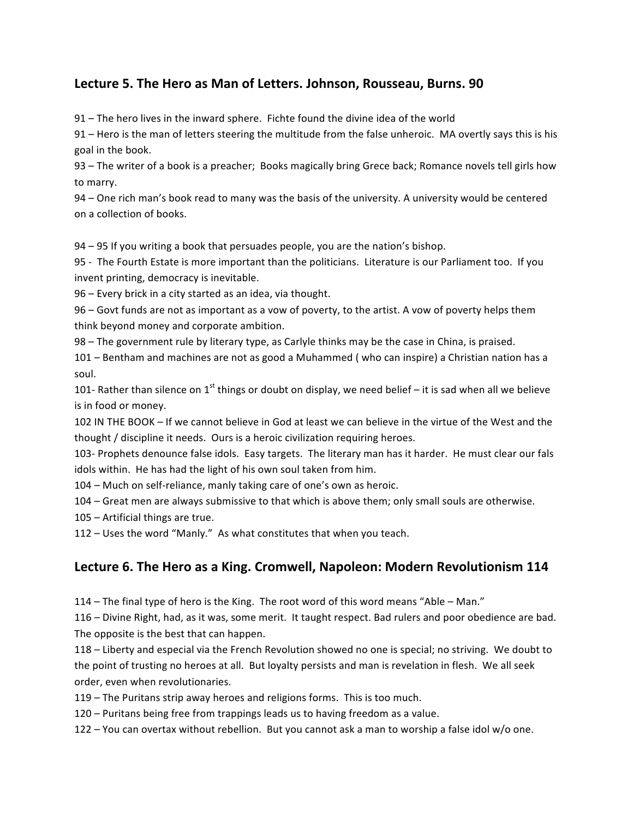## Lecture 5. The Hero as Man of Letters. Johnson, Rousseau, Burns. 90

91
–
The
hero
lives
in
the
inward
sphere.

Fichte
found
the
divine
idea
of
the
world

91 – Hero is the man of letters steering the multitude from the false unheroic. MA overtly says this is his goal
in
the
book.

93 – The writer of a book is a preacher; Books magically bring Grece back; Romance novels tell girls how to
marry.

94 - One rich man's book read to many was the basis of the university. A university would be centered on
a
collection
of
books.

94
–
95
If
you
writing
a
book
that
persuades
people,
you
are
the
nation's
bishop.

95 - The Fourth Estate is more important than the politicians. Literature is our Parliament too. If you invent
printing,
democracy
is
inevitable.

96
–
Every
brick
in
a
city
started
as
an
idea,
via
thought.

96 – Govt funds are not as important as a vow of poverty, to the artist. A vow of poverty helps them think
beyond
money
and
corporate
ambition.

98 – The government rule by literary type, as Carlyle thinks may be the case in China, is praised.

101 – Bentham and machines are not as good a Muhammed (who can inspire) a Christian nation has a soul.

101- Rather than silence on 1<sup>st</sup> things or doubt on display, we need belief – it is sad when all we believe is
in
food
or
money.

102 IN THE BOOK - If we cannot believe in God at least we can believe in the virtue of the West and the thought / discipline it needs. Ours is a heroic civilization requiring heroes.

103- Prophets denounce false idols. Easy targets. The literary man has it harder. He must clear our fals idols within. He has had the light of his own soul taken from him.

104 – Much on self-reliance, manly taking care of one's own as heroic.

104 – Great men are always submissive to that which is above them; only small souls are otherwise.

105
–
Artificial
things
are
true.

112
–
Uses
the
word
"Manly."

As
what
constitutes
that
when
you
teach.

## **Lecture 6.
The
Hero
as
a
King.
Cromwell,
Napoleon:
Modern
Revolutionism
114**

114 – The final type of hero is the King. The root word of this word means "Able – Man."

116 – Divine Right, had, as it was, some merit. It taught respect. Bad rulers and poor obedience are bad. The opposite is the best that can happen.

118 – Liberty and especial via the French Revolution showed no one is special; no striving. We doubt to the point of trusting no heroes at all. But loyalty persists and man is revelation in flesh. We all seek order,
even
when
revolutionaries.

119
–
The
Puritans
strip
away
heroes
and
religions
forms.

This
is
too
much.

120 - Puritans being free from trappings leads us to having freedom as a value.

122 – You can overtax without rebellion. But you cannot ask a man to worship a false idol w/o one.